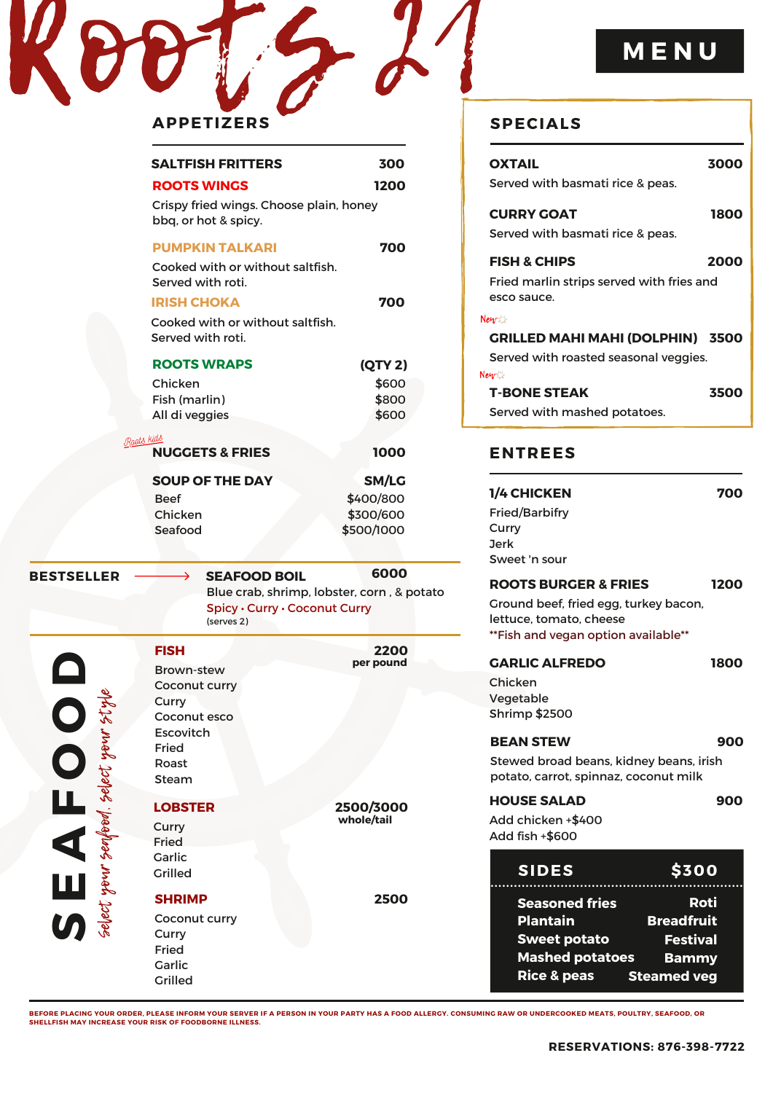| <b>APPETIZERS</b> | <b>SPI</b> |
|-------------------|------------|

|                                                          | <b>SALTFISH FRITTERS</b>                                                                                              | 300            |
|----------------------------------------------------------|-----------------------------------------------------------------------------------------------------------------------|----------------|
|                                                          | <b>ROOTS WINGS</b>                                                                                                    | 1200           |
|                                                          | Crispy fried wings. Choose plain, honey<br>bbq, or hot & spicy.                                                       |                |
|                                                          | <b>PUMPKIN TALKARI</b>                                                                                                | 700            |
|                                                          | Cooked with or without saltfish.<br>Served with roti.                                                                 |                |
|                                                          | <b>IRISH CHOKA</b>                                                                                                    | 700            |
|                                                          | Cooked with or without saltfish.<br>Served with roti.                                                                 |                |
|                                                          | <b>ROOTS WRAPS</b>                                                                                                    | <b>(QTY 2)</b> |
|                                                          | Chicken                                                                                                               | \$600          |
|                                                          | Fish (marlin)                                                                                                         | \$800          |
|                                                          | All di veggies                                                                                                        | \$600          |
| Raats kids                                               | <b>NUGGETS &amp; FRIES</b>                                                                                            | 1000           |
|                                                          | <b>SOUP OF THE DAY</b>                                                                                                | SM/LG          |
|                                                          | <b>Beef</b>                                                                                                           | \$400/800      |
|                                                          | Chicken                                                                                                               | \$300/600      |
|                                                          | Seafood                                                                                                               | \$500/1000     |
|                                                          |                                                                                                                       |                |
| <b>BESTSELLER</b>                                        | <b>SEAFOOD BOIL</b><br>→<br>Blue crab, shrimp, lobster, corn, & potato<br>Spicy · Curry · Coconut Curry<br>(serves 2) | 6000           |
|                                                          | <b>FISH</b>                                                                                                           | 2200           |
|                                                          | <b>Brown-stew</b>                                                                                                     | per pound      |
|                                                          | Coconut curry                                                                                                         |                |
|                                                          | Curry                                                                                                                 |                |
|                                                          | Coconut esco<br>Escovitch                                                                                             |                |
|                                                          |                                                                                                                       |                |
|                                                          |                                                                                                                       |                |
|                                                          | Fried<br>Roast                                                                                                        |                |
|                                                          | Steam                                                                                                                 |                |
|                                                          | <b>LOBSTER</b>                                                                                                        | 2500/3000      |
|                                                          |                                                                                                                       | whole/tail     |
|                                                          | Curry<br>Fried                                                                                                        |                |
|                                                          | Garlic                                                                                                                |                |
|                                                          | <b>Grilled</b>                                                                                                        |                |
|                                                          | <b>SHRIMP</b>                                                                                                         | 2500           |
|                                                          | Coconut curry                                                                                                         |                |
|                                                          | Curry                                                                                                                 |                |
| $\mathbf{S} \mathbf{E} \mathbf{A} \mathbf{F} \mathbf{O}$ | Fried<br>Garlic                                                                                                       |                |

## **M E N U**

| <b>SPECIALS</b>                                                                          |      |
|------------------------------------------------------------------------------------------|------|
| <b>OXTAIL</b><br>Served with basmati rice & peas.                                        | 3000 |
| <b>CURRY GOAT</b><br>Served with basmati rice & peas.                                    | 1800 |
| <b>FISH &amp; CHIPS</b><br>Fried marlin strips served with fries and<br>esco sauce.      | 2000 |
| Newz<br><b>GRILLED MAHI MAHI (DOLPHIN) 3500</b><br>Served with roasted seasonal veggies. |      |
| Newz<br><b>T-BONE STEAK</b><br>Served with mashed potatoes.                              | 3500 |

## **ENTREES**

| <b>1/4 CHICKEN</b><br><b>Fried/Barbifry</b><br>Curry<br>Jerk<br>Sweet 'n sour                                                              | 700                                          |
|--------------------------------------------------------------------------------------------------------------------------------------------|----------------------------------------------|
| <b>ROOTS BURGER &amp; FRIES</b><br>Ground beef, fried egg, turkey bacon,<br>lettuce, tomato, cheese<br>**Fish and vegan option available** | 1200                                         |
| <b>GARLIC ALFREDO</b><br>Chicken<br>Vegetable<br><b>Shrimp \$2500</b>                                                                      | 1800                                         |
| <b>BEAN STEW</b><br>Stewed broad beans, kidney beans, irish<br>potato, carrot, spinnaz, coconut milk                                       | 900                                          |
| <b>HOUSE SALAD</b><br>Add chicken +\$400<br>Add fish +\$600                                                                                | 900                                          |
| <b>SIDES</b>                                                                                                                               | <b>\$300</b>                                 |
| <b>Seasoned fries</b><br>Plantain<br><b>Sweet potato</b>                                                                                   | Roti<br><b>Breadfruit</b><br><b>Festival</b> |

BEFORE PLACING YOUR ORDER, PLEASE INFORM YOUR SERVER IF A PERSON IN YOUR PARTY HAS A FOOD ALLERGY. CONSUMING RAW OR UNDERCOOKED MEATS, POULTRY, SEAFOOD, OR<br>SHELLFISH MAY INCREASE YOUR RISK OF FOODBORNE ILLNESS.

**Mashed potatoes**

**Rice & peas**

**Bammy Steamed veg**